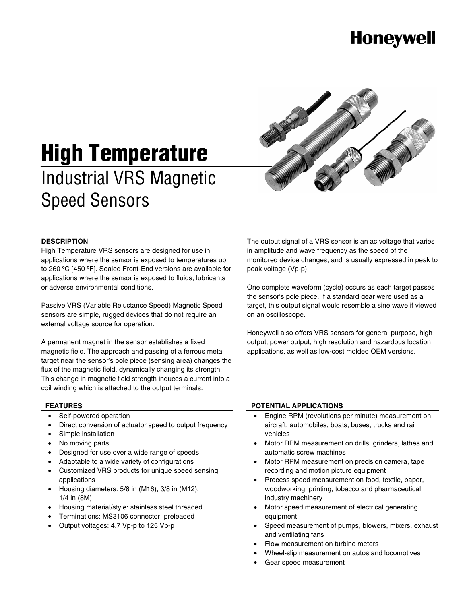# **Honeywell**



# **High Temperature**  Industrial VRS Magnetic Speed Sensors

#### **DESCRIPTION**

High Temperature VRS sensors are designed for use in applications where the sensor is exposed to temperatures up to 260 ºC [450 ºF]. Sealed Front-End versions are available for applications where the sensor is exposed to fluids, lubricants or adverse environmental conditions.

Passive VRS (Variable Reluctance Speed) Magnetic Speed sensors are simple, rugged devices that do not require an external voltage source for operation.

A permanent magnet in the sensor establishes a fixed magnetic field. The approach and passing of a ferrous metal target near the sensor's pole piece (sensing area) changes the flux of the magnetic field, dynamically changing its strength. This change in magnetic field strength induces a current into a coil winding which is attached to the output terminals.

The output signal of a VRS sensor is an ac voltage that varies in amplitude and wave frequency as the speed of the monitored device changes, and is usually expressed in peak to peak voltage (Vp-p).

One complete waveform (cycle) occurs as each target passes the sensor's pole piece. If a standard gear were used as a target, this output signal would resemble a sine wave if viewed on an oscilloscope.

Honeywell also offers VRS sensors for general purpose, high output, power output, high resolution and hazardous location applications, as well as low-cost molded OEM versions.

### **FEATURES**

- Self-powered operation
- Direct conversion of actuator speed to output frequency
- Simple installation
- No moving parts
- Designed for use over a wide range of speeds
- Adaptable to a wide variety of configurations
- Customized VRS products for unique speed sensing applications
- Housing diameters: 5/8 in (M16), 3/8 in (M12), 1/4 in (8M)
- Housing material/style: stainless steel threaded
- Terminations: MS3106 connector, preleaded
- Output voltages: 4.7 Vp-p to 125 Vp-p

#### **POTENTIAL APPLICATIONS**

- Engine RPM (revolutions per minute) measurement on aircraft, automobiles, boats, buses, trucks and rail vehicles
- Motor RPM measurement on drills, grinders, lathes and automatic screw machines
- Motor RPM measurement on precision camera, tape recording and motion picture equipment
- Process speed measurement on food, textile, paper, woodworking, printing, tobacco and pharmaceutical industry machinery
- Motor speed measurement of electrical generating equipment
- Speed measurement of pumps, blowers, mixers, exhaust and ventilating fans
- Flow measurement on turbine meters
- Wheel-slip measurement on autos and locomotives
- Gear speed measurement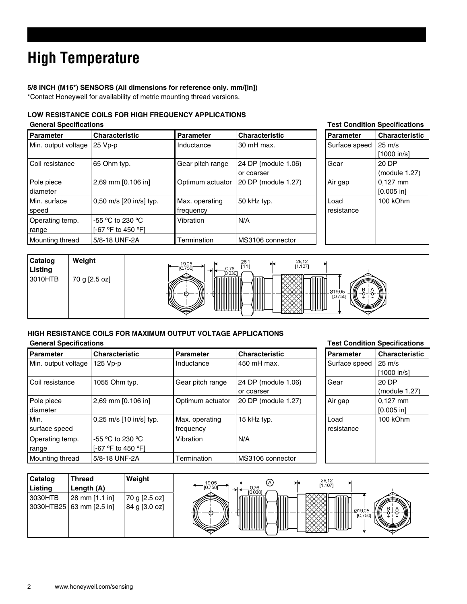# **High Temperature**

### **5/8 INCH (M16\*) SENSORS (All dimensions for reference only. mm/[in])**  \*Contact Honeywell for availability of metric mounting thread versions.

### **LOW RESISTANCE COILS FOR HIGH FREQUENCY APPLICATIONS**

| <b>General Specifications</b> |                                              | <b>Test Condition Specifications</b> |                                   |                    |                                   |
|-------------------------------|----------------------------------------------|--------------------------------------|-----------------------------------|--------------------|-----------------------------------|
| <b>Parameter</b>              | <b>Characteristic</b>                        | <b>Parameter</b>                     | <b>Characteristic</b>             | <b>Parameter</b>   | <b>Characteristic</b>             |
| Min. output voltage   25 Vp-p |                                              | Inductance                           | 30 mH max.                        | Surface speed      | $25 \text{ m/s}$<br>$[1000$ in/sl |
| Coil resistance               | 65 Ohm typ.                                  | Gear pitch range                     | 24 DP (module 1.06)<br>or coarser | Gear               | 20 DP<br>(module 1.27)            |
| Pole piece<br>diameter        | 2,69 mm [0.106 in]                           | Optimum actuator                     | 20 DP (module 1.27)               | Air gap            | $0.127$ mm<br>$[0.005$ in         |
| Min. surface<br>speed         | 0,50 m/s [20 in/s] typ.                      | Max. operating<br>frequency          | 50 kHz typ.                       | Load<br>resistance | 100 kOhm                          |
| Operating temp.<br>range      | $-55$ °C to 230 °C<br>$[-67 °F$ to 450 $°F1$ | Vibration                            | N/A                               |                    |                                   |
| Mounting thread               | 5/8-18 UNF-2A                                | Termination                          | MS3106 connector                  |                    |                                   |



### **HIGH RESISTANCE COILS FOR MAXIMUM OUTPUT VOLTAGE APPLICATIONS**

### **General Specifications Test Condition Specifications**

| <b>Parameter</b>    | <b>Characteristic</b>   | <b>Parameter</b> | <b>Characteristic</b> | <b>Parameter</b> | <b>Characteristic</b> |
|---------------------|-------------------------|------------------|-----------------------|------------------|-----------------------|
|                     |                         |                  |                       |                  |                       |
| Min. output voltage | 125 Vp-p                | Inductance       | 450 mH max.           | Surface speed    | $25 \text{ m/s}$      |
|                     |                         |                  |                       |                  | $[1000$ in/sl         |
| Coil resistance     | 1055 Ohm typ.           | Gear pitch range | 24 DP (module 1.06)   | Gear             | 20 DP                 |
|                     |                         |                  | or coarser            |                  | (module 1.27)         |
| Pole piece          | 2,69 mm [0.106 in]      | Optimum actuator | 20 DP (module 1.27)   | Air gap          | $0,127$ mm            |
| diameter            |                         |                  |                       |                  | $[0.005$ in]          |
| Min.                | 0,25 m/s [10 in/s] typ. | Max. operating   | 15 kHz typ.           | Load             | 100 kOhm              |
| surface speed       |                         | frequency        |                       | resistance       |                       |
| Operating temp.     | $-55$ °C to 230 °C      | Vibration        | N/A                   |                  |                       |
| range               | [-67 °F to 450 °F]      |                  |                       |                  |                       |
| Mounting thread     | 5/8-18 UNF-2A           | Termination      | MS3106 connector      |                  |                       |

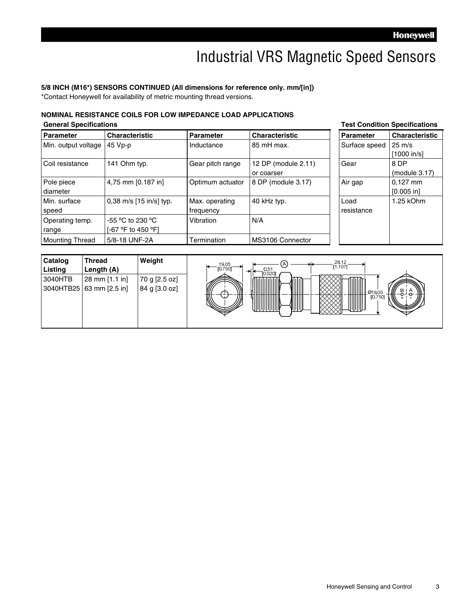### Industrial VRS Magnetic Speed Sensors

#### **5/8 INCH (M16\*) SENSORS CONTINUED (All dimensions for reference only. mm/[in])**

\*Contact Honeywell for availability of metric mounting thread versions.

-55 ºC to 230 ºC [-67 ºF to 450 ºF]

diameter

range

Min. surface speed

Operating temp.

### **NOMINAL RESISTANCE COILS FOR LOW IMPEDANCE LOAD APPLICATIONS**

**General Specifications Test Condition Specifications Parameter Characteristic Parameter Characteristic Parameter Characteristic** Min. output voltage  $\begin{vmatrix} 45 & Vp-p \end{vmatrix}$  Inductance  $\begin{vmatrix} 85 & mH \end{vmatrix}$  max. Coil resistance | 141 Ohm typ. Gear pitch range | 12 DP (module 2.11) or coarser Pole piece 4,75 mm  $[0.187 \text{ in}]$  Optimum actuator 8 DP (module 3.17)

0,38 m/s [15 in/s] typ. Max. operating

Mounting Thread 5/8-18 UNF-2A Termination MS3106 Connector

frequency

Vibration N/A

| ו סטוועונוטוו    | <b>ODGUIILUALIOIIS</b> |
|------------------|------------------------|
| <b>Parameter</b> | <b>Characteristic</b>  |
| Surface speed    | $25 \text{ m/s}$       |
|                  | [1000 in/s]            |
| Gear             | 8 DP                   |
|                  | (module 3.17)          |
| Air gap          | 0.127 mm               |
|                  | [0.005 in]             |
| Load             | 1.25 kOhm              |
| resistance       |                        |
|                  |                        |
|                  |                        |
|                  |                        |



40 kHz typ.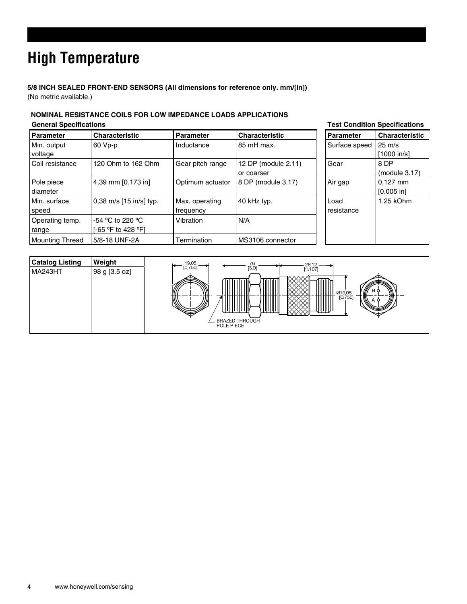# **High Temperature**

**5/8 INCH SEALED FRONT-END SENSORS (All dimensions for reference only. mm/[in])**  (No metric available.)

### **NOMINAL RESISTANCE COILS FOR LOW IMPEDANCE LOADS APPLICATIONS General Specifications Test Condition Specifications**

| <b>Parameter</b>       | <b>Characteristic</b>   | Parameter        | <b>Characteristic</b> | <b>Parameter</b> | <b>Characteristic</b> |
|------------------------|-------------------------|------------------|-----------------------|------------------|-----------------------|
| Min. output            | 60 Vp-p                 | Inductance       | 85 mH max.            | Surface speed    | $25 \text{ m/s}$      |
| voltage                |                         |                  |                       |                  | [1000 in/s]           |
| Coil resistance        | 120 Ohm to 162 Ohm      | Gear pitch range | 12 DP (module 2.11)   | Gear             | 8 DP                  |
|                        |                         |                  | or coarser            |                  | (modue 3.17)          |
| Pole piece             | 4,39 mm [0.173 in]      | Optimum actuator | 8 DP (module 3.17)    | Air gap          | $0,127$ mm            |
| diameter               |                         |                  |                       |                  | $[0.005$ in]          |
| Min. surface           | 0,38 m/s [15 in/s] typ. | Max. operating   | 40 kHz typ.           | Load             | 1.25 kOhm             |
| speed                  |                         | frequency        |                       | resistance       |                       |
| Operating temp.        | $-54$ °C to 220 °C      | Vibration        | N/A                   |                  |                       |
| range                  | [-65 °F to 428 °F]      |                  |                       |                  |                       |
| <b>Mounting Thread</b> | 5/8-18 UNF-2A           | Termination      | MS3106 connector      |                  |                       |

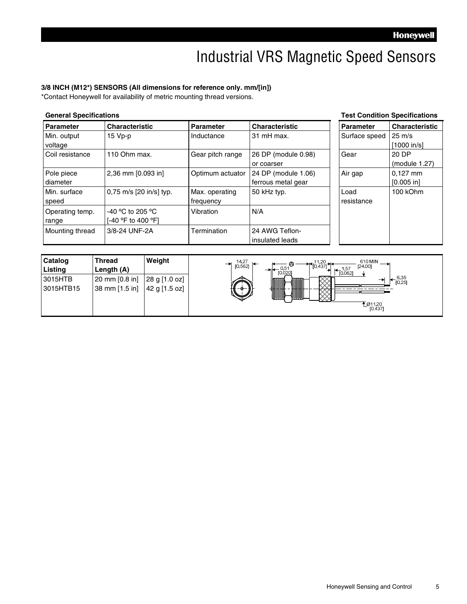### Industrial VRS Magnetic Speed Sensors

### **3/8 INCH (M12\*) SENSORS (All dimensions for reference only. mm/[in])**

\*Contact Honeywell for availability of metric mounting thread versions.

| <b>General Specifications</b> |                                        |                             | <b>Test Condition Specifications</b>      |                    |                                 |
|-------------------------------|----------------------------------------|-----------------------------|-------------------------------------------|--------------------|---------------------------------|
| <b>Parameter</b>              | <b>Characteristic</b>                  | <b>Parameter</b>            | <b>Characteristic</b>                     | <b>Parameter</b>   | <b>Characteristic</b>           |
| Min. output<br>voltage        | 15 Vp-p                                | Inductance                  | 31 mH max.                                | Surface speed      | $25 \text{ m/s}$<br>[1000 in/s] |
| Coil resistance               | 110 Ohm max.                           | Gear pitch range            | 26 DP (module 0.98)<br>or coarser         | Gear               | 20 DP<br>(module 1.27)          |
| Pole piece<br>diameter        | 2,36 mm [0.093 in]                     | Optimum actuator            | 24 DP (module 1.06)<br>ferrous metal gear | Air gap            | $0.127$ mm<br>$[0.005$ in]      |
| Min. surface<br>speed         | 0,75 m/s [20 in/s] typ.                | Max. operating<br>frequency | 50 kHz typ.                               | Load<br>resistance | 100 kOhm                        |
| Operating temp.<br>range      | -40 °C to 205 °C<br>「-40 °F to 400 °F1 | Vibration                   | N/A                                       |                    |                                 |
| Mounting thread               | 3/8-24 UNF-2A                          | Termination                 | 24 AWG Teflon-<br>insulated leads         |                    |                                 |

| Catalog   | <b>Thread</b>  | Weight        | 610 MIN<br>14,27<br>$\biguparrow \biguparrow_{[0.437]}^{11,20} \biguparrow$<br>℗<br>⇥            |
|-----------|----------------|---------------|--------------------------------------------------------------------------------------------------|
| Listing   | Length (A)     |               | [0.562]<br>[24.00]<br>0.5 <sup>4</sup><br>1,57<br>$\overline{\phantom{0}}$<br>[0.020]<br>[0.062] |
| 3015HTB   | 20 mm [0.8 in] | 28 g [1.0 oz] | $6,35$<br>[0.25]<br>♠<br>तातात                                                                   |
| 3015HTB15 | 38 mm [1.5 in] | 42 g [1.5 oz] | U                                                                                                |
|           |                |               |                                                                                                  |
|           |                |               | <u>ቸ</u> Ø11,20<br>[0.437]                                                                       |
|           |                |               |                                                                                                  |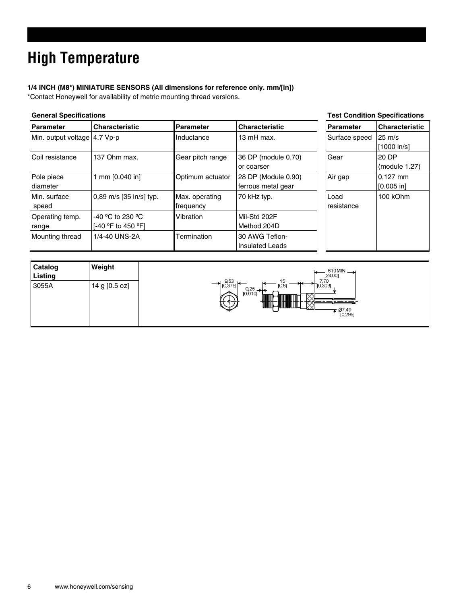# **High Temperature**

### **1/4 INCH (M8\*) MINIATURE SENSORS (All dimensions for reference only. mm/[in])**

\*Contact Honeywell for availability of metric mounting thread versions.

| <b>General Specifications</b> |                                          |                             | <b>Test Condition Specifications</b>      |                    |                            |
|-------------------------------|------------------------------------------|-----------------------------|-------------------------------------------|--------------------|----------------------------|
| <b>Parameter</b>              | <b>Characteristic</b>                    | <b>Parameter</b>            | <b>Characteristic</b>                     | Parameter          | <b>Characteristic</b>      |
| Min. output voltage 4.7 Vp-p  |                                          | Inductance                  | 13 mH max.                                | Surface speed      | 25 m/s<br>$[1000$ in/s]    |
| Coil resistance               | 137 Ohm max.                             | Gear pitch range            | 36 DP (module 0.70)<br>or coarser         | Gear               | 20 DP<br>(module 1.27)     |
| Pole piece<br>diameter        | mm [0.040 in]                            | Optimum actuator            | 28 DP (Module 0.90)<br>ferrous metal gear | Air gap            | $0.127$ mm<br>$[0.005$ in] |
| Min. surface<br>speed         | 0,89 m/s [35 in/s] typ.                  | Max. operating<br>frequency | 70 kHz typ.                               | Load<br>resistance | 100 kOhm                   |
| Operating temp.<br>range      | $-40$ °C to 230 °C<br>[-40 °F to 450 °F] | Vibration                   | Mil-Std 202F<br>Method 204D               |                    |                            |
| Mounting thread               | 1/4-40 UNS-2A                            | Termination                 | 30 AWG Teflon-<br><b>Insulated Leads</b>  |                    |                            |

| Catalog<br>Listing | Weight        | $610$ MIN $\rightarrow$<br>[24.00]                                                                     |
|--------------------|---------------|--------------------------------------------------------------------------------------------------------|
| 3055A              | 14 g [0.5 oz] | 7,70<br>[0.303]<br>9,53<br>15<br>$\rightarrow$ [0.375]<br>[0.6]<br>0,25<br>[0.010]<br>07,49<br>[0.295] |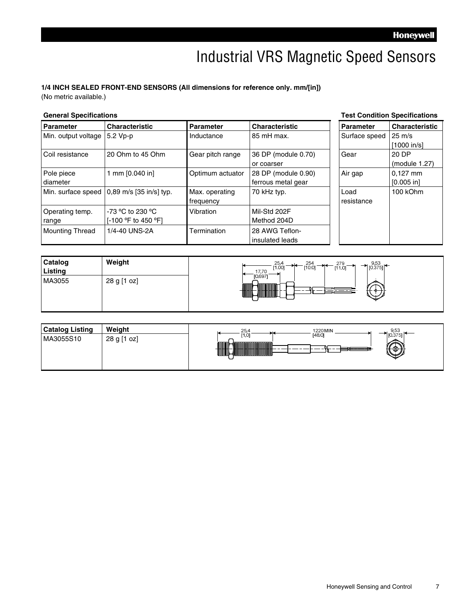### Industrial VRS Magnetic Speed Sensors

### **1/4 INCH SEALED FRONT-END SENSORS (All dimensions for reference only. mm/[in])**

(No metric available.)

#### **General Specifications Test Condition Specifications**

| Parameter                    | <b>Characteristic</b>                        | <b>Parameter</b> | <b>Characteristic</b> | <b>Parameter</b> | <b>Characteristic</b> |
|------------------------------|----------------------------------------------|------------------|-----------------------|------------------|-----------------------|
| Min. output voltage 5.2 Vp-p |                                              | Inductance       | l 85 mH max.          | Surface speed    | $25 \text{ m/s}$      |
|                              |                                              |                  |                       |                  | [1000 in/s]           |
| Coil resistance              | 20 Ohm to 45 Ohm                             | Gear pitch range | 36 DP (module 0.70)   | Gear             | 20 DP                 |
|                              |                                              |                  | or coarser            |                  | (module 1.27)         |
| Pole piece                   | 1 mm [0.040 in]                              | Optimum actuator | 28 DP (module 0.90)   | Air gap          | $0,127$ mm            |
| diameter                     |                                              |                  | ferrous metal gear    |                  | [0.005 in]            |
|                              | Min. surface speed   0,89 m/s [35 in/s] typ. | Max. operating   | 70 kHz typ.           | Load             | 100 kOhm              |
|                              |                                              | frequency        |                       | resistance       |                       |
| Operating temp.              | $-73$ °C to 230 °C                           | Vibration        | Mil-Std 202F          |                  |                       |
| range                        | [-100 °F to 450 °F]                          |                  | Method 204D           |                  |                       |
| <b>Mounting Thread</b>       | 1/4-40 UNS-2A                                | Termination      | 28 AWG Teflon-        |                  |                       |
|                              |                                              |                  | l insulated leads     |                  |                       |

| Catalog<br>Listing | Weight      | $\rightarrow$ 9,53<br>[0.375]<br>25,4<br>279<br>[1.00]<br>[11.0]<br>17,70 |
|--------------------|-------------|---------------------------------------------------------------------------|
| MA3055             | 28 g [1 oz] | [0.697]                                                                   |

| <b>Catalog Listing</b> | Weight      | 1220 MIN<br>25.4<br>$\sim$ $\sim$<br>ນວວ |
|------------------------|-------------|------------------------------------------|
| MA3055S10              | 28 g [1 oz] | [48.0]<br>1,0<br>ക                       |